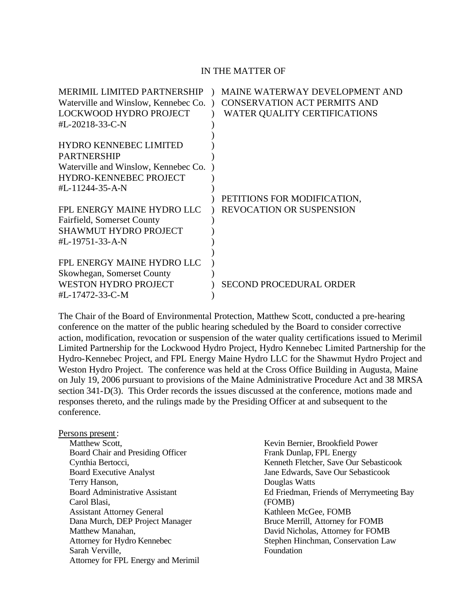#### IN THE MATTER OF

| <b>MERIMIL LIMITED PARTNERSHIP</b>   | MAINE WATERWAY DEVELOPMENT AND      |
|--------------------------------------|-------------------------------------|
| Waterville and Winslow, Kennebec Co. | <b>CONSERVATION ACT PERMITS AND</b> |
| LOCKWOOD HYDRO PROJECT               | WATER QUALITY CERTIFICATIONS        |
| #L-20218-33-C-N                      |                                     |
|                                      |                                     |
| <b>HYDRO KENNEBEC LIMITED</b>        |                                     |
| <b>PARTNERSHIP</b>                   |                                     |
| Waterville and Winslow, Kennebec Co. |                                     |
| <b>HYDRO-KENNEBEC PROJECT</b>        |                                     |
| #L-11244-35-A-N                      |                                     |
|                                      | PETITIONS FOR MODIFICATION,         |
| FPL ENERGY MAINE HYDRO LLC           | <b>REVOCATION OR SUSPENSION</b>     |
| Fairfield, Somerset County           |                                     |
| <b>SHAWMUT HYDRO PROJECT</b>         |                                     |
| #L-19751-33-A-N                      |                                     |
|                                      |                                     |
| FPL ENERGY MAINE HYDRO LLC           |                                     |
| Skowhegan, Somerset County           |                                     |
| <b>WESTON HYDRO PROJECT</b>          | <b>SECOND PROCEDURAL ORDER</b>      |
| #L-17472-33-C-M                      |                                     |

The Chair of the Board of Environmental Protection, Matthew Scott, conducted a pre-hearing conference on the matter of the public hearing scheduled by the Board to consider corrective action, modification, revocation or suspension of the water quality certifications issued to Merimil Limited Partnership for the Lockwood Hydro Project, Hydro Kennebec Limited Partnership for the Hydro-Kennebec Project, and FPL Energy Maine Hydro LLC for the Shawmut Hydro Project and Weston Hydro Project. The conference was held at the Cross Office Building in Augusta, Maine on July 19, 2006 pursuant to provisions of the Maine Administrative Procedure Act and 38 MRSA section 341-D(3). This Order records the issues discussed at the conference, motions made and responses thereto, and the rulings made by the Presiding Officer at and subsequent to the conference.

#### Persons present:

Matthew Scott, Board Chair and Presiding Officer Cynthia Bertocci, Board Executive Analyst Terry Hanson, Board Administrative Assistant Carol Blasi, Assistant Attorney General Dana Murch, DEP Project Manager Matthew Manahan, Attorney for Hydro Kennebec Sarah Verville, Attorney for FPL Energy and Merimil

Kevin Bernier, Brookfield Power Frank Dunlap, FPL Energy Kenneth Fletcher, Save Our Sebasticook Jane Edwards, Save Our Sebasticook Douglas Watts Ed Friedman, Friends of Merrymeeting Bay (FOMB) Kathleen McGee, FOMB Bruce Merrill, Attorney for FOMB David Nicholas, Attorney for FOMB Stephen Hinchman, Conservation Law Foundation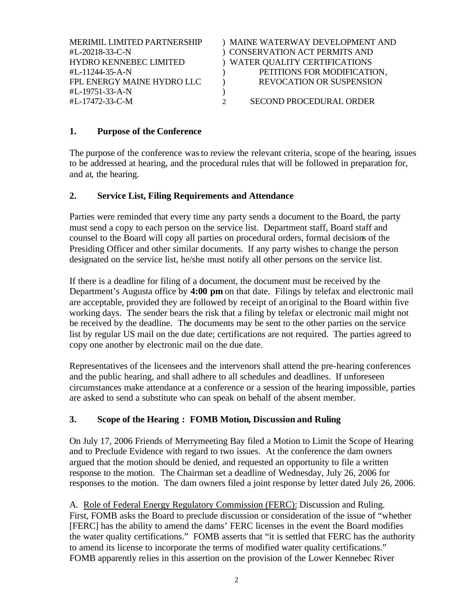| <b>MERIMIL LIMITED PARTNERSHIP</b> | ) MAINE WATERWAY DEVELOPMENT AND |
|------------------------------------|----------------------------------|
| #L-20218-33-C-N                    | ) CONSERVATION ACT PERMITS AND   |
| <b>HYDRO KENNEBEC LIMITED</b>      | ) WATER QUALITY CERTIFICATIONS   |
| #L-11244-35-A-N                    | PETITIONS FOR MODIFICATION,      |
| FPL ENERGY MAINE HYDRO LLC         | <b>REVOCATION OR SUSPENSION</b>  |
| #L-19751-33-A-N                    |                                  |
| #L-17472-33-C-M                    | SECOND PROCEDURAL ORDER          |
|                                    |                                  |

# **1. Purpose of the Conference**

The purpose of the conference was to review the relevant criteria, scope of the hearing, issues to be addressed at hearing, and the procedural rules that will be followed in preparation for, and at, the hearing.

### **2. Service List, Filing Requirements and Attendance**

Parties were reminded that every time any party sends a document to the Board, the party must send a copy to each person on the service list. Department staff, Board staff and counsel to the Board will copy all parties on procedural orders, formal decisions of the Presiding Officer and other similar documents.If any party wishes to change the person designated on the service list, he/she must notify all other persons on the service list.

If there is a deadline for filing of a document, the document must be received by the Department's Augusta office by **4:00 pm** on that date. Filings by telefax and electronic mail are acceptable, provided they are followed by receipt of an original to the Board within five working days. The sender bears the risk that a filing by telefax or electronic mail might not be received by the deadline. The documents may be sent to the other parties on the service list by regular US mail on the due date; certifications are not required. The parties agreed to copy one another by electronic mail on the due date.

Representatives of the licensees and the intervenors shall attend the pre-hearing conferences and the public hearing, and shall adhere to all schedules and deadlines. If unforeseen circumstances make attendance at a conference or a session of the hearing impossible, parties are asked to send a substitute who can speak on behalf of the absent member.

# **3. Scope of the Hearing : FOMB Motion, Discussion and Ruling**

On July 17, 2006 Friends of Merrymeeting Bay filed a Motion to Limit the Scope of Hearing and to Preclude Evidence with regard to two issues. At the conference the dam owners argued that the motion should be denied, and requested an opportunity to file a written response to the motion. The Chairman set a deadline of Wednesday, July 26, 2006 for responses to the motion. The dam owners filed a joint response by letter dated July 26, 2006.

A. Role of Federal Energy Regulatory Commission (FERC): Discussion and Ruling. First, FOMB asks the Board to preclude discussion or consideration of the issue of "whether [FERC] has the ability to amend the dams' FERC licenses in the event the Board modifies the water quality certifications." FOMB asserts that "it is settled that FERC has the authority to amend its license to incorporate the terms of modified water quality certifications." FOMB apparently relies in this assertion on the provision of the Lower Kennebec River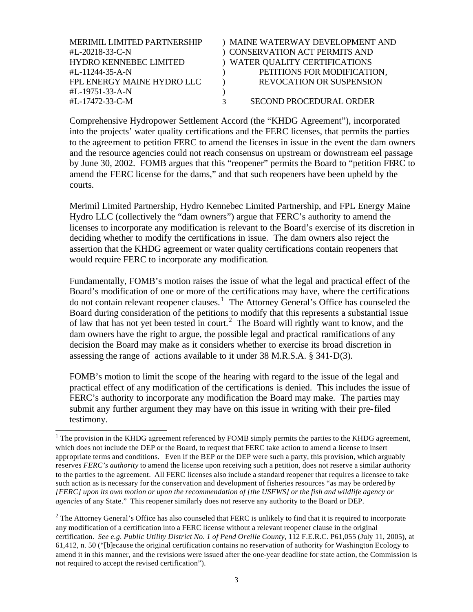| <b>MERIMIL LIMITED PARTNERSHIP</b> | ) MAINE WATERWAY DEVELOPMENT AND |
|------------------------------------|----------------------------------|
| #L-20218-33-C-N                    | ) CONSERVATION ACT PERMITS AND   |
| <b>HYDRO KENNEBEC LIMITED</b>      | ) WATER QUALITY CERTIFICATIONS   |
| #L-11244-35-A-N                    | PETITIONS FOR MODIFICATION,      |
| FPL ENERGY MAINE HYDRO LLC         | <b>REVOCATION OR SUSPENSION</b>  |
| #L-19751-33-A-N                    |                                  |
| #L-17472-33-C-M                    | <b>SECOND PROCEDURAL ORDER</b>   |

Comprehensive Hydropower Settlement Accord (the "KHDG Agreement"), incorporated into the projects' water quality certifications and the FERC licenses, that permits the parties to the agreement to petition FERC to amend the licenses in issue in the event the dam owners and the resource agencies could not reach consensus on upstream or downstream eel passage by June 30, 2002. FOMB argues that this "reopener" permits the Board to "petition FERC to amend the FERC license for the dams," and that such reopeners have been upheld by the courts.

Merimil Limited Partnership, Hydro Kennebec Limited Partnership, and FPL Energy Maine Hydro LLC (collectively the "dam owners") argue that FERC's authority to amend the licenses to incorporate any modification is relevant to the Board's exercise of its discretion in deciding whether to modify the certifications in issue. The dam owners also reject the assertion that the KHDG agreement or water quality certifications contain reopeners that would require FERC to incorporate any modification.

Fundamentally, FOMB's motion raises the issue of what the legal and practical effect of the Board's modification of one or more of the certifications may have, where the certifications do not contain relevant reopener clauses.<sup>1</sup> The Attorney General's Office has counseled the Board during consideration of the petitions to modify that this represents a substantial issue of law that has not yet been tested in court.<sup>2</sup> The Board will rightly want to know, and the dam owners have the right to argue, the possible legal and practical ramifications of any decision the Board may make as it considers whether to exercise its broad discretion in assessing the range of actions available to it under 38 M.R.S.A. § 341-D(3).

FOMB's motion to limit the scope of the hearing with regard to the issue of the legal and practical effect of any modification of the certifications is denied. This includes the issue of FERC's authority to incorporate any modification the Board may make. The parties may submit any further argument they may have on this issue in writing with their pre-filed testimony.

<sup>&</sup>lt;sup>1</sup> The provision in the KHDG agreement referenced by FOMB simply permits the parties to the KHDG agreement, which does not include the DEP or the Board, to request that FERC take action to amend a license to insert appropriate terms and conditions. Even if the BEP or the DEP were such a party, this provision, which arguably reserves *FERC's authority* to amend the license upon receiving such a petition, does not reserve a similar authority to the parties to the agreement. All FERC licenses also include a standard reopener that requires a licensee to take such action as is necessary for the conservation and development of fisheries resources "as may be ordered *by [FERC] upon its own motion or upon the recommendation of [the USFWS] or the fish and wildlife agency or agencies* of any State." This reopener similarly does not reserve any authority to the Board or DEP.

 $2$  The Attorney General's Office has also counseled that FERC is unlikely to find that it is required to incorporate any modification of a certification into a FERC license without a relevant reopener clause in the original certification. *See e.g. Public Utility District No. 1 of Pend Oreille County,* 112 F.E.R.C. P61,055 (July 11, 2005), at 61,412, n. 50 ("[b]ecause the original certification contains no reservation of authority for Washington Ecology to amend it in this manner, and the revisions were issued after the one-year deadline for state action, the Commission is not required to accept the revised certification").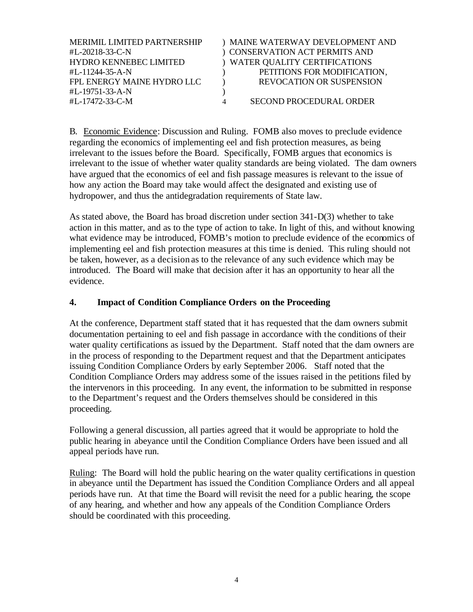| <b>MERIMIL LIMITED PARTNERSHIP</b><br>#L-20218-33-C-N                          | ) MAINE WATERWAY DEVELOPMENT AND<br>) CONSERVATION ACT PERMITS AND                               |
|--------------------------------------------------------------------------------|--------------------------------------------------------------------------------------------------|
| <b>HYDRO KENNEBEC LIMITED</b><br>#L-11244-35-A-N<br>FPL ENERGY MAINE HYDRO LLC | ) WATER QUALITY CERTIFICATIONS<br>PETITIONS FOR MODIFICATION,<br><b>REVOCATION OR SUSPENSION</b> |
| #L-19751-33-A-N<br>#L-17472-33-C-M                                             | SECOND PROCEDURAL ORDER                                                                          |

B. Economic Evidence: Discussion and Ruling. FOMB also moves to preclude evidence regarding the economics of implementing eel and fish protection measures, as being irrelevant to the issues before the Board. Specifically, FOMB argues that economics is irrelevant to the issue of whether water quality standards are being violated. The dam owners have argued that the economics of eel and fish passage measures is relevant to the issue of how any action the Board may take would affect the designated and existing use of hydropower, and thus the antidegradation requirements of State law.

As stated above, the Board has broad discretion under section 341-D(3) whether to take action in this matter, and as to the type of action to take. In light of this, and without knowing what evidence may be introduced, FOMB's motion to preclude evidence of the economics of implementing eel and fish protection measures at this time is denied. This ruling should not be taken, however, as a decision as to the relevance of any such evidence which may be introduced. The Board will make that decision after it has an opportunity to hear all the evidence.

# **4. Impact of Condition Compliance Orders on the Proceeding**

At the conference, Department staff stated that it has requested that the dam owners submit documentation pertaining to eel and fish passage in accordance with the conditions of their water quality certifications as issued by the Department. Staff noted that the dam owners are in the process of responding to the Department request and that the Department anticipates issuing Condition Compliance Orders by early September 2006. Staff noted that the Condition Compliance Orders may address some of the issues raised in the petitions filed by the intervenors in this proceeding. In any event, the information to be submitted in response to the Department's request and the Orders themselves should be considered in this proceeding.

Following a general discussion, all parties agreed that it would be appropriate to hold the public hearing in abeyance until the Condition Compliance Orders have been issued and all appeal periods have run.

Ruling: The Board will hold the public hearing on the water quality certifications in question in abeyance until the Department has issued the Condition Compliance Orders and all appeal periods have run. At that time the Board will revisit the need for a public hearing, the scope of any hearing, and whether and how any appeals of the Condition Compliance Orders should be coordinated with this proceeding.